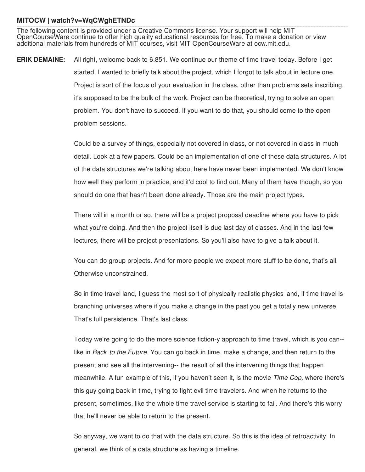## **MITOCW | watch?v=WqCWghETNDc**

The following content is provided under a Creative Commons license. Your support will help MIT OpenCourseWare continue to offer high quality educational resources for free. To make a donation or view additional materials from hundreds of MIT courses, visit MIT OpenCourseWare at ocw.mit.edu.

**ERIK DEMAINE:** All right, welcome back to 6.851. We continue our theme of time travel today. Before I get started, I wanted to briefly talk about the project, which I forgot to talk about in lecture one. Project is sort of the focus of your evaluation in the class, other than problems sets inscribing, it's supposed to be the bulk of the work. Project can be theoretical, trying to solve an open problem. You don't have to succeed. If you want to do that, you should come to the open problem sessions.

> Could be a survey of things, especially not covered in class, or not covered in class in much detail. Look at a few papers. Could be an implementation of one of these data structures. A lot of the data structures we're talking about here have never been implemented. We don't know how well they perform in practice, and it'd cool to find out. Many of them have though, so you should do one that hasn't been done already. Those are the main project types.

There will in a month or so, there will be a project proposal deadline where you have to pick what you're doing. And then the project itself is due last day of classes. And in the last few lectures, there will be project presentations. So you'll also have to give a talk about it.

You can do group projects. And for more people we expect more stuff to be done, that's all. Otherwise unconstrained.

So in time travel land, I guess the most sort of physically realistic physics land, if time travel is branching universes where if you make a change in the past you get a totally new universe. That's full persistence. That's last class.

Today we're going to do the more science fiction-y approach to time travel, which is you can- like in *Back to the Future.* You can go back in time, make a change, and then return to the present and see all the intervening-- the result of all the intervening things that happen meanwhile. A fun example of this, if you haven't seen it, is the movie *Time Cop,* where there's this guy going back in time, trying to fight evil time travelers. And when he returns to the present, sometimes, like the whole time travel service is starting to fail. And there's this worry that he'll never be able to return to the present.

So anyway, we want to do that with the data structure. So this is the idea of retroactivity. In general, we think of a data structure as having a timeline.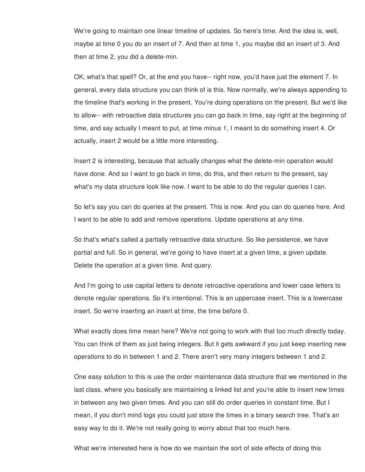We're going to maintain one linear timeline of updates. So here's time. And the idea is, well, maybe at time 0 you do an insert of 7. And then at time 1, you maybe did an insert of 3. And then at time 2, you did a delete-min.

OK, what's that spell? Or, at the end you have-- right now, you'd have just the element 7. In general, every data structure you can think of is this. Now normally, we're always appending to the timeline that's working in the present. You're doing operations on the present. But we'd like to allow-- with retroactive data structures you can go back in time, say right at the beginning of time, and say actually I meant to put, at time minus 1, I meant to do something insert 4. Or actually, insert 2 would be a little more interesting.

Insert 2 is interesting, because that actually changes what the delete-min operation would have done. And so I want to go back in time, do this, and then return to the present, say what's my data structure look like now. I want to be able to do the regular queries I can.

So let's say you can do queries at the present. This is now. And you can do queries here. And I want to be able to add and remove operations. Update operations at any time.

So that's what's called a partially retroactive data structure. So like persistence, we have partial and full. So in general, we're going to have insert at a given time, a given update. Delete the operation at a given time. And query.

And I'm going to use capital letters to denote retroactive operations and lower case letters to denote regular operations. So it's intentional. This is an uppercase insert. This is a lowercase insert. So we're inserting an insert at time, the time before 0.

What exactly does time mean here? We're not going to work with that too much directly today. You can think of them as just being integers. But it gets awkward if you just keep inserting new operations to do in between 1 and 2. There aren't very many integers between 1 and 2.

One easy solution to this is use the order maintenance data structure that we mentioned in the last class, where you basically are maintaining a linked list and you're able to insert new times in between any two given times. And you can still do order queries in constant time. But I mean, if you don't mind logs you could just store the times in a binary search tree. That's an easy way to do it. We're not really going to worry about that too much here.

What we're interested here is how do we maintain the sort of side effects of doing this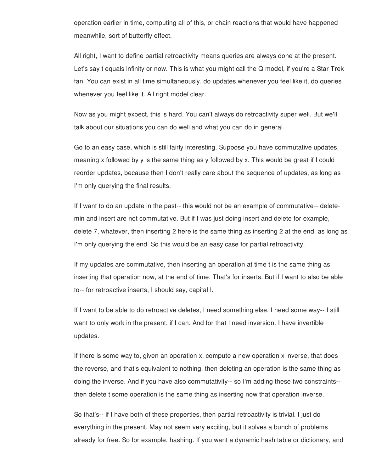operation earlier in time, computing all of this, or chain reactions that would have happened meanwhile, sort of butterfly effect.

All right, I want to define partial retroactivity means queries are always done at the present. Let's say t equals infinity or now. This is what you might call the Q model, if you're a Star Trek fan. You can exist in all time simultaneously, do updates whenever you feel like it, do queries whenever you feel like it. All right model clear.

Now as you might expect, this is hard. You can't always do retroactivity super well. But we'll talk about our situations you can do well and what you can do in general.

Go to an easy case, which is still fairly interesting. Suppose you have commutative updates, meaning x followed by y is the same thing as y followed by x. This would be great if I could reorder updates, because then I don't really care about the sequence of updates, as long as I'm only querying the final results.

If I want to do an update in the past-- this would not be an example of commutative-- deletemin and insert are not commutative. But if I was just doing insert and delete for example, delete 7, whatever, then inserting 2 here is the same thing as inserting 2 at the end, as long as I'm only querying the end. So this would be an easy case for partial retroactivity.

If my updates are commutative, then inserting an operation at time t is the same thing as inserting that operation now, at the end of time. That's for inserts. But if I want to also be able to-- for retroactive inserts, I should say, capital I.

If I want to be able to do retroactive deletes, I need something else. I need some way-- I still want to only work in the present, if I can. And for that I need inversion. I have invertible updates.

If there is some way to, given an operation x, compute a new operation x inverse, that does the reverse, and that's equivalent to nothing, then deleting an operation is the same thing as doing the inverse. And if you have also commutativity-- so I'm adding these two constraints- then delete t some operation is the same thing as inserting now that operation inverse.

So that's-- if I have both of these properties, then partial retroactivity is trivial. I just do everything in the present. May not seem very exciting, but it solves a bunch of problems already for free. So for example, hashing. If you want a dynamic hash table or dictionary, and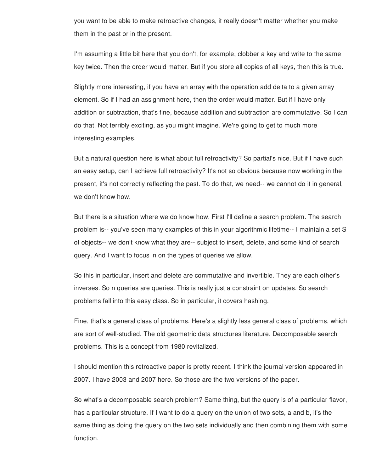you want to be able to make retroactive changes, it really doesn't matter whether you make them in the past or in the present.

I'm assuming a little bit here that you don't, for example, clobber a key and write to the same key twice. Then the order would matter. But if you store all copies of all keys, then this is true.

Slightly more interesting, if you have an array with the operation add delta to a given array element. So if I had an assignment here, then the order would matter. But if I have only addition or subtraction, that's fine, because addition and subtraction are commutative. So I can do that. Not terribly exciting, as you might imagine. We're going to get to much more interesting examples.

But a natural question here is what about full retroactivity? So partial's nice. But if I have such an easy setup, can I achieve full retroactivity? It's not so obvious because now working in the present, it's not correctly reflecting the past. To do that, we need-- we cannot do it in general, we don't know how.

But there is a situation where we do know how. First I'll define a search problem. The search problem is-- you've seen many examples of this in your algorithmic lifetime-- I maintain a set S of objects-- we don't know what they are-- subject to insert, delete, and some kind of search query. And I want to focus in on the types of queries we allow.

So this in particular, insert and delete are commutative and invertible. They are each other's inverses. So n queries are queries. This is really just a constraint on updates. So search problems fall into this easy class. So in particular, it covers hashing.

Fine, that's a general class of problems. Here's a slightly less general class of problems, which are sort of well-studied. The old geometric data structures literature. Decomposable search problems. This is a concept from 1980 revitalized.

I should mention this retroactive paper is pretty recent. I think the journal version appeared in 2007. I have 2003 and 2007 here. So those are the two versions of the paper.

So what's a decomposable search problem? Same thing, but the query is of a particular flavor, has a particular structure. If I want to do a query on the union of two sets, a and b, it's the same thing as doing the query on the two sets individually and then combining them with some function.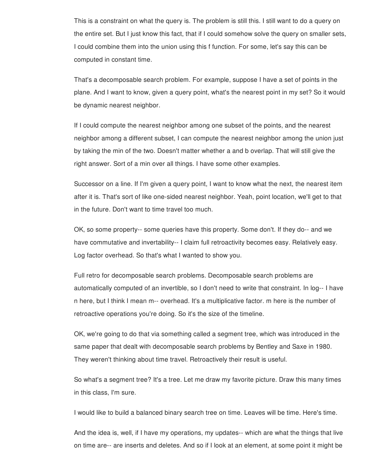This is a constraint on what the query is. The problem is still this. I still want to do a query on the entire set. But I just know this fact, that if I could somehow solve the query on smaller sets, I could combine them into the union using this f function. For some, let's say this can be computed in constant time.

That's a decomposable search problem. For example, suppose I have a set of points in the plane. And I want to know, given a query point, what's the nearest point in my set? So it would be dynamic nearest neighbor.

If I could compute the nearest neighbor among one subset of the points, and the nearest neighbor among a different subset, I can compute the nearest neighbor among the union just by taking the min of the two. Doesn't matter whether a and b overlap. That will still give the right answer. Sort of a min over all things. I have some other examples.

Successor on a line. If I'm given a query point, I want to know what the next, the nearest item after it is. That's sort of like one-sided nearest neighbor. Yeah, point location, we'll get to that in the future. Don't want to time travel too much.

OK, so some property-- some queries have this property. Some don't. If they do-- and we have commutative and invertability-- I claim full retroactivity becomes easy. Relatively easy. Log factor overhead. So that's what I wanted to show you.

Full retro for decomposable search problems. Decomposable search problems are automatically computed of an invertible, so I don't need to write that constraint. In log-- I have n here, but I think I mean m-- overhead. It's a multiplicative factor. m here is the number of retroactive operations you're doing. So it's the size of the timeline.

OK, we're going to do that via something called a segment tree, which was introduced in the same paper that dealt with decomposable search problems by Bentley and Saxe in 1980. They weren't thinking about time travel. Retroactively their result is useful.

So what's a segment tree? It's a tree. Let me draw my favorite picture. Draw this many times in this class, I'm sure.

I would like to build a balanced binary search tree on time. Leaves will be time. Here's time.

And the idea is, well, if I have my operations, my updates-- which are what the things that live on time are-- are inserts and deletes. And so if I look at an element, at some point it might be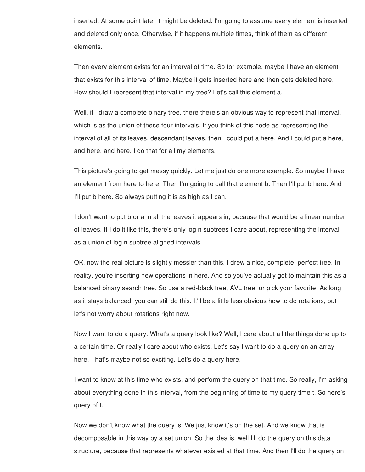inserted. At some point later it might be deleted. I'm going to assume every element is inserted and deleted only once. Otherwise, if it happens multiple times, think of them as different elements.

Then every element exists for an interval of time. So for example, maybe I have an element that exists for this interval of time. Maybe it gets inserted here and then gets deleted here. How should I represent that interval in my tree? Let's call this element a.

Well, if I draw a complete binary tree, there there's an obvious way to represent that interval, which is as the union of these four intervals. If you think of this node as representing the interval of all of its leaves, descendant leaves, then I could put a here. And I could put a here, and here, and here. I do that for all my elements.

This picture's going to get messy quickly. Let me just do one more example. So maybe I have an element from here to here. Then I'm going to call that element b. Then I'll put b here. And I'll put b here. So always putting it is as high as I can.

I don't want to put b or a in all the leaves it appears in, because that would be a linear number of leaves. If I do it like this, there's only log n subtrees I care about, representing the interval as a union of log n subtree aligned intervals.

OK, now the real picture is slightly messier than this. I drew a nice, complete, perfect tree. In reality, you're inserting new operations in here. And so you've actually got to maintain this as a balanced binary search tree. So use a red-black tree, AVL tree, or pick your favorite. As long as it stays balanced, you can still do this. It'll be a little less obvious how to do rotations, but let's not worry about rotations right now.

Now I want to do a query. What's a query look like? Well, I care about all the things done up to a certain time. Or really I care about who exists. Let's say I want to do a query on an array here. That's maybe not so exciting. Let's do a query here.

I want to know at this time who exists, and perform the query on that time. So really, I'm asking about everything done in this interval, from the beginning of time to my query time t. So here's query of t.

Now we don't know what the query is. We just know it's on the set. And we know that is decomposable in this way by a set union. So the idea is, well I'll do the query on this data structure, because that represents whatever existed at that time. And then I'll do the query on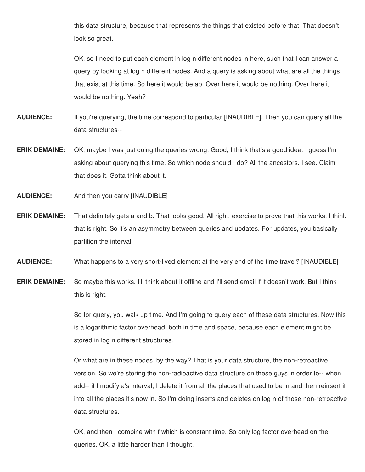this data structure, because that represents the things that existed before that. That doesn't look so great.

OK, so I need to put each element in log n different nodes in here, such that I can answer a query by looking at log n different nodes. And a query is asking about what are all the things that exist at this time. So here it would be ab. Over here it would be nothing. Over here it would be nothing. Yeah?

- **AUDIENCE:** If you're querying, the time correspond to particular [INAUDIBLE]. Then you can query all the data structures--
- **ERIK DEMAINE:** OK, maybe I was just doing the queries wrong. Good, I think that's a good idea. I guess I'm asking about querying this time. So which node should I do? All the ancestors. I see. Claim that does it. Gotta think about it.
- **AUDIENCE:** And then you carry [INAUDIBLE]
- **ERIK DEMAINE:** That definitely gets a and b. That looks good. All right, exercise to prove that this works. I think that is right. So it's an asymmetry between queries and updates. For updates, you basically partition the interval.
- **AUDIENCE:** What happens to a very short-lived element at the very end of the time travel? [INAUDIBLE]
- **ERIK DEMAINE:** So maybe this works. I'll think about it offline and I'll send email if it doesn't work. But I think this is right.

So for query, you walk up time. And I'm going to query each of these data structures. Now this is a logarithmic factor overhead, both in time and space, because each element might be stored in log n different structures.

Or what are in these nodes, by the way? That is your data structure, the non-retroactive version. So we're storing the non-radioactive data structure on these guys in order to-- when I add-- if I modify a's interval, I delete it from all the places that used to be in and then reinsert it into all the places it's now in. So I'm doing inserts and deletes on log n of those non-retroactive data structures.

OK, and then I combine with f which is constant time. So only log factor overhead on the queries. OK, a little harder than I thought.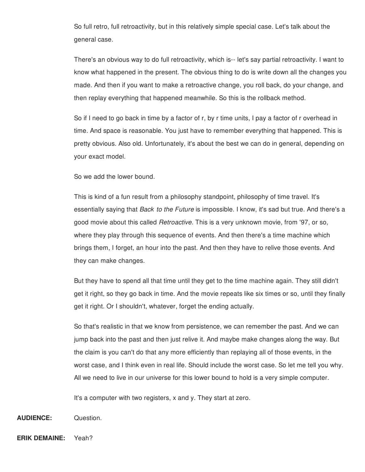So full retro, full retroactivity, but in this relatively simple special case. Let's talk about the general case.

There's an obvious way to do full retroactivity, which is-- let's say partial retroactivity. I want to know what happened in the present. The obvious thing to do is write down all the changes you made. And then if you want to make a retroactive change, you roll back, do your change, and then replay everything that happened meanwhile. So this is the rollback method.

So if I need to go back in time by a factor of r, by r time units, I pay a factor of r overhead in time. And space is reasonable. You just have to remember everything that happened. This is pretty obvious. Also old. Unfortunately, it's about the best we can do in general, depending on your exact model.

So we add the lower bound.

This is kind of a fun result from a philosophy standpoint, philosophy of time travel. It's essentially saying that *Back to the Future* is impossible. I know, it's sad but true. And there's a good movie about this called *Retroactive.* This is a very unknown movie, from '97, or so, where they play through this sequence of events. And then there's a time machine which brings them, I forget, an hour into the past. And then they have to relive those events. And they can make changes.

But they have to spend all that time until they get to the time machine again. They still didn't get it right, so they go back in time. And the movie repeats like six times or so, until they finally get it right. Or I shouldn't, whatever, forget the ending actually.

So that's realistic in that we know from persistence, we can remember the past. And we can jump back into the past and then just relive it. And maybe make changes along the way. But the claim is you can't do that any more efficiently than replaying all of those events, in the worst case, and I think even in real life. Should include the worst case. So let me tell you why. All we need to live in our universe for this lower bound to hold is a very simple computer.

It's a computer with two registers, x and y. They start at zero.

**AUDIENCE:** Question.

**ERIK DEMAINE:** Yeah?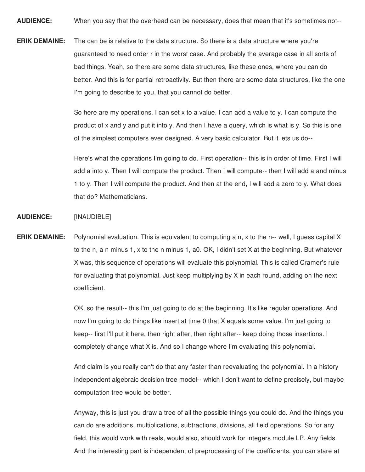**AUDIENCE:** When you say that the overhead can be necessary, does that mean that it's sometimes not--

**ERIK DEMAINE:** The can be is relative to the data structure. So there is a data structure where you're guaranteed to need order r in the worst case. And probably the average case in all sorts of bad things. Yeah, so there are some data structures, like these ones, where you can do better. And this is for partial retroactivity. But then there are some data structures, like the one I'm going to describe to you, that you cannot do better.

> So here are my operations. I can set x to a value. I can add a value to y. I can compute the product of x and y and put it into y. And then I have a query, which is what is y. So this is one of the simplest computers ever designed. A very basic calculator. But it lets us do--

Here's what the operations I'm going to do. First operation-- this is in order of time. First I will add a into y. Then I will compute the product. Then I will compute-- then I will add a and minus 1 to y. Then I will compute the product. And then at the end, I will add a zero to y. What does that do? Mathematicians.

## **AUDIENCE:** [INAUDIBLE]

**ERIK DEMAINE:** Polynomial evaluation. This is equivalent to computing a n, x to the n-- well, I guess capital X to the n, a n minus 1, x to the n minus 1, a0. OK, I didn't set X at the beginning. But whatever X was, this sequence of operations will evaluate this polynomial. This is called Cramer's rule for evaluating that polynomial. Just keep multiplying by X in each round, adding on the next coefficient.

> OK, so the result-- this I'm just going to do at the beginning. It's like regular operations. And now I'm going to do things like insert at time 0 that X equals some value. I'm just going to keep-- first I'll put it here, then right after, then right after-- keep doing those insertions. I completely change what X is. And so I change where I'm evaluating this polynomial.

And claim is you really can't do that any faster than reevaluating the polynomial. In a history independent algebraic decision tree model-- which I don't want to define precisely, but maybe computation tree would be better.

Anyway, this is just you draw a tree of all the possible things you could do. And the things you can do are additions, multiplications, subtractions, divisions, all field operations. So for any field, this would work with reals, would also, should work for integers module LP. Any fields. And the interesting part is independent of preprocessing of the coefficients, you can stare at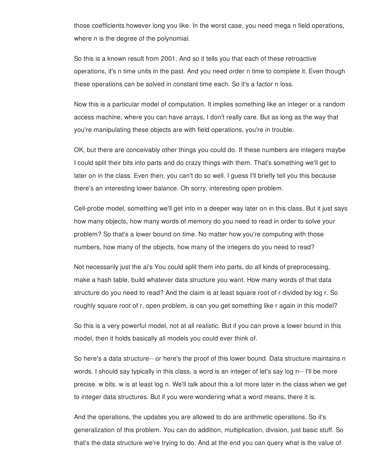those coefficients however long you like. In the worst case, you need mega n field operations, where n is the degree of the polynomial.

So this is a known result from 2001. And so it tells you that each of these retroactive operations, it's n time units in the past. And you need order n time to complete it. Even though these operations can be solved in constant time each. So it's a factor n loss.

Now this is a particular model of computation. It implies something like an integer or a random access machine, where you can have arrays, I don't really care. But as long as the way that you're manipulating these objects are with field operations, you're in trouble.

OK, but there are conceivably other things you could do. If these numbers are integers maybe I could split their bits into parts and do crazy things with them. That's something we'll get to later on in the class. Even then, you can't do so well. I guess I'll briefly tell you this because there's an interesting lower balance. Oh sorry, interesting open problem.

Cell-probe model, something we'll get into in a deeper way later on in this class. But it just says how many objects, how many words of memory do you need to read in order to solve your problem? So that's a lower bound on time. No matter how you're computing with those numbers, how many of the objects, how many of the integers do you need to read?

Not necessarily just the ai's You could split them into parts, do all kinds of preprocessing, make a hash table, build whatever data structure you want. How many words of that data structure do you need to read? And the claim is at least square root of r divided by log r. So roughly square root of r, open problem, is can you get something like r again in this model?

So this is a very powerful model, not at all realistic. But if you can prove a lower bound in this model, then it holds basically all models you could ever think of.

So here's a data structure-- or here's the proof of this lower bound. Data structure maintains n words. I should say typically in this class, a word is an integer of let's say log n-- I'll be more precise. w bits. w is at least log n. We'll talk about this a lot more later in the class when we get to integer data structures. But if you were wondering what a word means, there it is.

And the operations, the updates you are allowed to do are arithmetic operations. So it's generalization of this problem. You can do addition, multiplication, division, just basic stuff. So that's the data structure we're trying to do. And at the end you can query what is the value of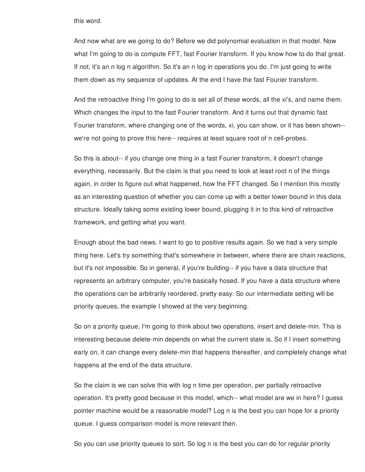this word.

And now what are we going to do? Before we did polynomial evaluation in that model. Now what I'm going to do is compute FFT, fast Fourier transform. If you know how to do that great. If not, it's an n log n algorithm. So it's an n log in operations you do. I'm just going to write them down as my sequence of updates. At the end I have the fast Fourier transform.

And the retroactive thing I'm going to do is set all of these words, all the xi's, and name them. Which changes the input to the fast Fourier transform. And it turns out that dynamic fast Fourier transform, where changing one of the words, xi, you can show, or it has been shown- we're not going to prove this here-- requires at least square root of n cell-probes.

So this is about-- if you change one thing in a fast Fourier transform, it doesn't change everything, necessarily. But the claim is that you need to look at least root n of the things again, in order to figure out what happened, how the FFT changed. So I mention this mostly as an interesting question of whether you can come up with a better lower bound in this data structure. Ideally taking some existing lower bound, plugging it in to this kind of retroactive framework, and getting what you want.

Enough about the bad news. I want to go to positive results again. So we had a very simple thing here. Let's try something that's somewhere in between, where there are chain reactions, but it's not impossible. So in general, if you're building-- if you have a data structure that represents an arbitrary computer, you're basically hosed. If you have a data structure where the operations can be arbitrarily reordered, pretty easy. So our intermediate setting will be priority queues, the example I showed at the very beginning.

So on a priority queue, I'm going to think about two operations, insert and delete-min. This is interesting because delete-min depends on what the current state is. So if I insert something early on, it can change every delete-min that happens thereafter, and completely change what happens at the end of the data structure.

So the claim is we can solve this with log n time per operation, per partially retroactive operation. It's pretty good because in this model, which-- what model are we in here? I guess pointer machine would be a reasonable model? Log n is the best you can hope for a priority queue. I guess comparison model is more relevant then.

So you can use priority queues to sort. So log n is the best you can do for regular priority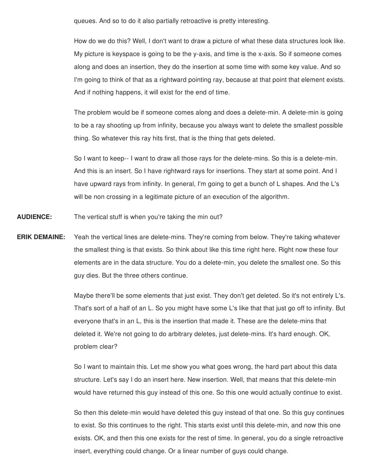queues. And so to do it also partially retroactive is pretty interesting.

How do we do this? Well, I don't want to draw a picture of what these data structures look like. My picture is keyspace is going to be the y-axis, and time is the x-axis. So if someone comes along and does an insertion, they do the insertion at some time with some key value. And so I'm going to think of that as a rightward pointing ray, because at that point that element exists. And if nothing happens, it will exist for the end of time.

The problem would be if someone comes along and does a delete-min. A delete-min is going to be a ray shooting up from infinity, because you always want to delete the smallest possible thing. So whatever this ray hits first, that is the thing that gets deleted.

So I want to keep-- I want to draw all those rays for the delete-mins. So this is a delete-min. And this is an insert. So I have rightward rays for insertions. They start at some point. And I have upward rays from infinity. In general, I'm going to get a bunch of L shapes. And the L's will be non crossing in a legitimate picture of an execution of the algorithm.

- **AUDIENCE:** The vertical stuff is when you're taking the min out?
- **ERIK DEMAINE:** Yeah the vertical lines are delete-mins. They're coming from below. They're taking whatever the smallest thing is that exists. So think about like this time right here. Right now these four elements are in the data structure. You do a delete-min, you delete the smallest one. So this guy dies. But the three others continue.

Maybe there'll be some elements that just exist. They don't get deleted. So it's not entirely L's. That's sort of a half of an L. So you might have some L's like that that just go off to infinity. But everyone that's in an L, this is the insertion that made it. These are the delete-mins that deleted it. We're not going to do arbitrary deletes, just delete-mins. It's hard enough. OK, problem clear?

So I want to maintain this. Let me show you what goes wrong, the hard part about this data structure. Let's say I do an insert here. New insertion. Well, that means that this delete-min would have returned this guy instead of this one. So this one would actually continue to exist.

So then this delete-min would have deleted this guy instead of that one. So this guy continues to exist. So this continues to the right. This starts exist until this delete-min, and now this one exists. OK, and then this one exists for the rest of time. In general, you do a single retroactive insert, everything could change. Or a linear number of guys could change.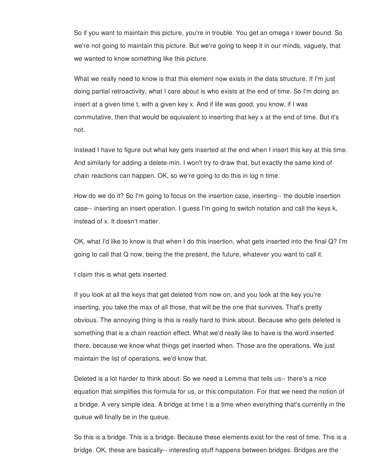So if you want to maintain this picture, you're in trouble. You get an omega r lower bound. So we're not going to maintain this picture. But we're going to keep it in our minds, vaguely, that we wanted to know something like this picture.

What we really need to know is that this element now exists in the data structure. If I'm just doing partial retroactivity, what I care about is who exists at the end of time. So I'm doing an insert at a given time t, with a given key x. And if life was good, you know, if I was commutative, then that would be equivalent to inserting that key x at the end of time. But it's not.

Instead I have to figure out what key gets inserted at the end when I insert this key at this time. And similarly for adding a delete-min. I won't try to draw that, but exactly the same kind of chain reactions can happen. OK, so we're going to do this in log n time.

How do we do it? So I'm going to focus on the insertion case, inserting-- the double insertion case-- inserting an insert operation. I guess I'm going to switch notation and call the keys k, instead of x. It doesn't matter.

OK, what I'd like to know is that when I do this insertion, what gets inserted into the final Q? I'm going to call that Q now, being the the present, the future, whatever you want to call it.

I claim this is what gets inserted.

If you look at all the keys that get deleted from now on, and you look at the key you're inserting, you take the max of all those, that will be the one that survives. That's pretty obvious. The annoying thing is this is really hard to think about. Because who gets deleted is something that is a chain reaction effect. What we'd really like to have is the word inserted there, because we know what things get inserted when. Those are the operations. We just maintain the list of operations, we'd know that.

Deleted is a lot harder to think about. So we need a Lemma that tells us-- there's a nice equation that simplifies this formula for us, or this computation. For that we need the notion of a bridge. A very simple idea. A bridge at time t is a time when everything that's currently in the queue will finally be in the queue.

So this is a bridge. This is a bridge. Because these elements exist for the rest of time. This is a bridge. OK, these are basically-- interesting stuff happens between bridges. Bridges are the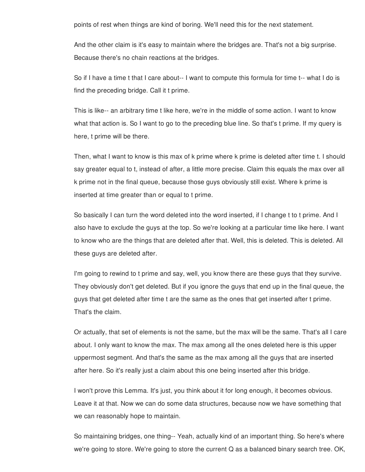points of rest when things are kind of boring. We'll need this for the next statement.

And the other claim is it's easy to maintain where the bridges are. That's not a big surprise. Because there's no chain reactions at the bridges.

So if I have a time t that I care about-- I want to compute this formula for time t-- what I do is find the preceding bridge. Call it t prime.

This is like-- an arbitrary time t like here, we're in the middle of some action. I want to know what that action is. So I want to go to the preceding blue line. So that's t prime. If my query is here, t prime will be there.

Then, what I want to know is this max of k prime where k prime is deleted after time t. I should say greater equal to t, instead of after, a little more precise. Claim this equals the max over all k prime not in the final queue, because those guys obviously still exist. Where k prime is inserted at time greater than or equal to t prime.

So basically I can turn the word deleted into the word inserted, if I change t to t prime. And I also have to exclude the guys at the top. So we're looking at a particular time like here. I want to know who are the things that are deleted after that. Well, this is deleted. This is deleted. All these guys are deleted after.

I'm going to rewind to t prime and say, well, you know there are these guys that they survive. They obviously don't get deleted. But if you ignore the guys that end up in the final queue, the guys that get deleted after time t are the same as the ones that get inserted after t prime. That's the claim.

Or actually, that set of elements is not the same, but the max will be the same. That's all I care about. I only want to know the max. The max among all the ones deleted here is this upper uppermost segment. And that's the same as the max among all the guys that are inserted after here. So it's really just a claim about this one being inserted after this bridge.

I won't prove this Lemma. It's just, you think about it for long enough, it becomes obvious. Leave it at that. Now we can do some data structures, because now we have something that we can reasonably hope to maintain.

So maintaining bridges, one thing-- Yeah, actually kind of an important thing. So here's where we're going to store. We're going to store the current Q as a balanced binary search tree. OK,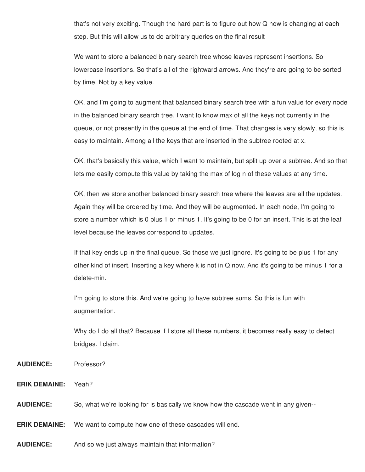that's not very exciting. Though the hard part is to figure out how Q now is changing at each step. But this will allow us to do arbitrary queries on the final result

We want to store a balanced binary search tree whose leaves represent insertions. So lowercase insertions. So that's all of the rightward arrows. And they're are going to be sorted by time. Not by a key value.

OK, and I'm going to augment that balanced binary search tree with a fun value for every node in the balanced binary search tree. I want to know max of all the keys not currently in the queue, or not presently in the queue at the end of time. That changes is very slowly, so this is easy to maintain. Among all the keys that are inserted in the subtree rooted at x.

OK, that's basically this value, which I want to maintain, but split up over a subtree. And so that lets me easily compute this value by taking the max of log n of these values at any time.

OK, then we store another balanced binary search tree where the leaves are all the updates. Again they will be ordered by time. And they will be augmented. In each node, I'm going to store a number which is 0 plus 1 or minus 1. It's going to be 0 for an insert. This is at the leaf level because the leaves correspond to updates.

If that key ends up in the final queue. So those we just ignore. It's going to be plus 1 for any other kind of insert. Inserting a key where k is not in Q now. And it's going to be minus 1 for a delete-min.

I'm going to store this. And we're going to have subtree sums. So this is fun with augmentation.

Why do I do all that? Because if I store all these numbers, it becomes really easy to detect bridges. I claim.

- **AUDIENCE:** Professor?
- **ERIK DEMAINE:** Yeah?

**AUDIENCE:** So, what we're looking for is basically we know how the cascade went in any given--

**ERIK DEMAINE:** We want to compute how one of these cascades will end.

**AUDIENCE:** And so we just always maintain that information?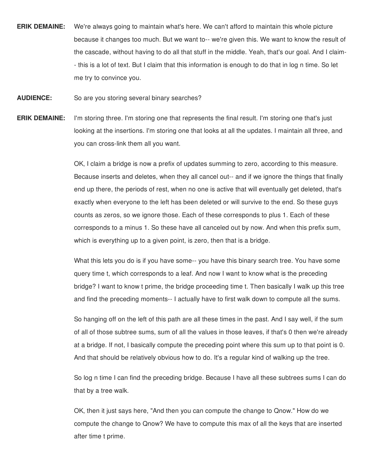- **ERIK DEMAINE:** We're always going to maintain what's here. We can't afford to maintain this whole picture because it changes too much. But we want to-- we're given this. We want to know the result of the cascade, without having to do all that stuff in the middle. Yeah, that's our goal. And I claim- - this is a lot of text. But I claim that this information is enough to do that in log n time. So let me try to convince you.
- **AUDIENCE:** So are you storing several binary searches?
- **ERIK DEMAINE:** I'm storing three. I'm storing one that represents the final result. I'm storing one that's just looking at the insertions. I'm storing one that looks at all the updates. I maintain all three, and you can cross-link them all you want.

OK, I claim a bridge is now a prefix of updates summing to zero, according to this measure. Because inserts and deletes, when they all cancel out-- and if we ignore the things that finally end up there, the periods of rest, when no one is active that will eventually get deleted, that's exactly when everyone to the left has been deleted or will survive to the end. So these guys counts as zeros, so we ignore those. Each of these corresponds to plus 1. Each of these corresponds to a minus 1. So these have all canceled out by now. And when this prefix sum, which is everything up to a given point, is zero, then that is a bridge.

What this lets you do is if you have some-- you have this binary search tree. You have some query time t, which corresponds to a leaf. And now I want to know what is the preceding bridge? I want to know t prime, the bridge proceeding time t. Then basically I walk up this tree and find the preceding moments-- I actually have to first walk down to compute all the sums.

So hanging off on the left of this path are all these times in the past. And I say well, if the sum of all of those subtree sums, sum of all the values in those leaves, if that's 0 then we're already at a bridge. If not, I basically compute the preceding point where this sum up to that point is 0. And that should be relatively obvious how to do. It's a regular kind of walking up the tree.

So log n time I can find the preceding bridge. Because I have all these subtrees sums I can do that by a tree walk.

OK, then it just says here, "And then you can compute the change to Qnow." How do we compute the change to Qnow? We have to compute this max of all the keys that are inserted after time t prime.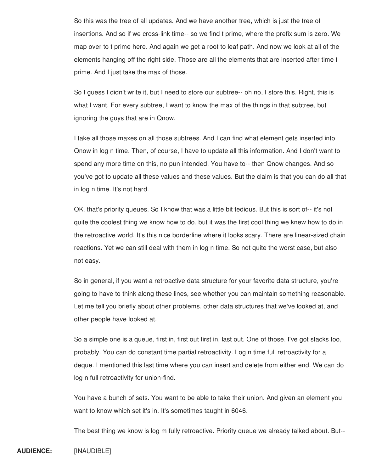So this was the tree of all updates. And we have another tree, which is just the tree of insertions. And so if we cross-link time-- so we find t prime, where the prefix sum is zero. We map over to t prime here. And again we get a root to leaf path. And now we look at all of the elements hanging off the right side. Those are all the elements that are inserted after time t prime. And I just take the max of those.

So I guess I didn't write it, but I need to store our subtree-- oh no, I store this. Right, this is what I want. For every subtree, I want to know the max of the things in that subtree, but ignoring the guys that are in Qnow.

I take all those maxes on all those subtrees. And I can find what element gets inserted into Qnow in log n time. Then, of course, I have to update all this information. And I don't want to spend any more time on this, no pun intended. You have to-- then Qnow changes. And so you've got to update all these values and these values. But the claim is that you can do all that in log n time. It's not hard.

OK, that's priority queues. So I know that was a little bit tedious. But this is sort of-- it's not quite the coolest thing we know how to do, but it was the first cool thing we knew how to do in the retroactive world. It's this nice borderline where it looks scary. There are linear-sized chain reactions. Yet we can still deal with them in log n time. So not quite the worst case, but also not easy.

So in general, if you want a retroactive data structure for your favorite data structure, you're going to have to think along these lines, see whether you can maintain something reasonable. Let me tell you briefly about other problems, other data structures that we've looked at, and other people have looked at.

So a simple one is a queue, first in, first out first in, last out. One of those. I've got stacks too, probably. You can do constant time partial retroactivity. Log n time full retroactivity for a deque. I mentioned this last time where you can insert and delete from either end. We can do log n full retroactivity for union-find.

You have a bunch of sets. You want to be able to take their union. And given an element you want to know which set it's in. It's sometimes taught in 6046.

The best thing we know is log m fully retroactive. Priority queue we already talked about. But--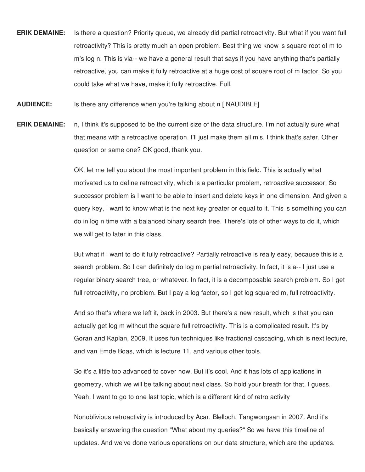- **ERIK DEMAINE:** Is there a question? Priority queue, we already did partial retroactivity. But what if you want full retroactivity? This is pretty much an open problem. Best thing we know is square root of m to m's log n. This is via-- we have a general result that says if you have anything that's partially retroactive, you can make it fully retroactive at a huge cost of square root of m factor. So you could take what we have, make it fully retroactive. Full.
- **AUDIENCE:** Is there any difference when you're talking about n [INAUDIBLE]
- **ERIK DEMAINE:** n, I think it's supposed to be the current size of the data structure. I'm not actually sure what that means with a retroactive operation. I'll just make them all m's. I think that's safer. Other question or same one? OK good, thank you.

OK, let me tell you about the most important problem in this field. This is actually what motivated us to define retroactivity, which is a particular problem, retroactive successor. So successor problem is I want to be able to insert and delete keys in one dimension. And given a query key, I want to know what is the next key greater or equal to it. This is something you can do in log n time with a balanced binary search tree. There's lots of other ways to do it, which we will get to later in this class.

But what if I want to do it fully retroactive? Partially retroactive is really easy, because this is a search problem. So I can definitely do log m partial retroactivity. In fact, it is a-- I just use a regular binary search tree, or whatever. In fact, it is a decomposable search problem. So I get full retroactivity, no problem. But I pay a log factor, so I get log squared m, full retroactivity.

And so that's where we left it, back in 2003. But there's a new result, which is that you can actually get log m without the square full retroactivity. This is a complicated result. It's by Goran and Kaplan, 2009. It uses fun techniques like fractional cascading, which is next lecture, and van Emde Boas, which is lecture 11, and various other tools.

So it's a little too advanced to cover now. But it's cool. And it has lots of applications in geometry, which we will be talking about next class. So hold your breath for that, I guess. Yeah. I want to go to one last topic, which is a different kind of retro activity

Nonoblivious retroactivity is introduced by Acar, Blelloch, Tangwongsan in 2007. And it's basically answering the question "What about my queries?" So we have this timeline of updates. And we've done various operations on our data structure, which are the updates.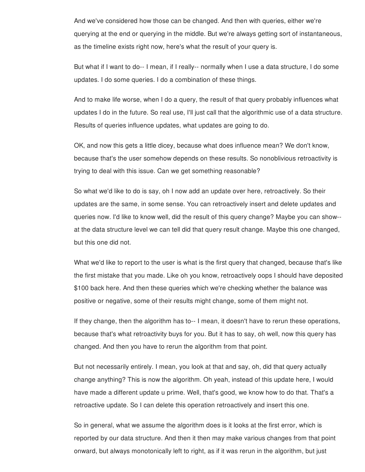And we've considered how those can be changed. And then with queries, either we're querying at the end or querying in the middle. But we're always getting sort of instantaneous, as the timeline exists right now, here's what the result of your query is.

But what if I want to do-- I mean, if I really-- normally when I use a data structure, I do some updates. I do some queries. I do a combination of these things.

And to make life worse, when I do a query, the result of that query probably influences what updates I do in the future. So real use, I'll just call that the algorithmic use of a data structure. Results of queries influence updates, what updates are going to do.

OK, and now this gets a little dicey, because what does influence mean? We don't know, because that's the user somehow depends on these results. So nonoblivious retroactivity is trying to deal with this issue. Can we get something reasonable?

So what we'd like to do is say, oh I now add an update over here, retroactively. So their updates are the same, in some sense. You can retroactively insert and delete updates and queries now. I'd like to know well, did the result of this query change? Maybe you can show- at the data structure level we can tell did that query result change. Maybe this one changed, but this one did not.

What we'd like to report to the user is what is the first query that changed, because that's like the first mistake that you made. Like oh you know, retroactively oops I should have deposited \$100 back here. And then these queries which we're checking whether the balance was positive or negative, some of their results might change, some of them might not.

If they change, then the algorithm has to-- I mean, it doesn't have to rerun these operations, because that's what retroactivity buys for you. But it has to say, oh well, now this query has changed. And then you have to rerun the algorithm from that point.

But not necessarily entirely. I mean, you look at that and say, oh, did that query actually change anything? This is now the algorithm. Oh yeah, instead of this update here, I would have made a different update u prime. Well, that's good, we know how to do that. That's a retroactive update. So I can delete this operation retroactively and insert this one.

So in general, what we assume the algorithm does is it looks at the first error, which is reported by our data structure. And then it then may make various changes from that point onward, but always monotonically left to right, as if it was rerun in the algorithm, but just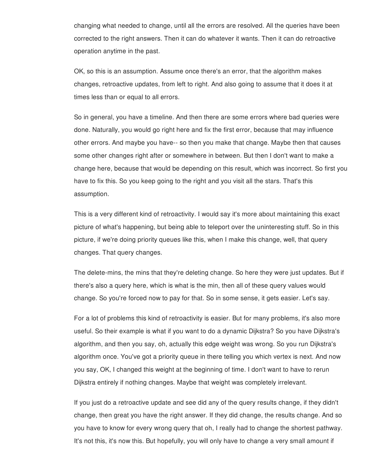changing what needed to change, until all the errors are resolved. All the queries have been corrected to the right answers. Then it can do whatever it wants. Then it can do retroactive operation anytime in the past.

OK, so this is an assumption. Assume once there's an error, that the algorithm makes changes, retroactive updates, from left to right. And also going to assume that it does it at times less than or equal to all errors.

So in general, you have a timeline. And then there are some errors where bad queries were done. Naturally, you would go right here and fix the first error, because that may influence other errors. And maybe you have-- so then you make that change. Maybe then that causes some other changes right after or somewhere in between. But then I don't want to make a change here, because that would be depending on this result, which was incorrect. So first you have to fix this. So you keep going to the right and you visit all the stars. That's this assumption.

This is a very different kind of retroactivity. I would say it's more about maintaining this exact picture of what's happening, but being able to teleport over the uninteresting stuff. So in this picture, if we're doing priority queues like this, when I make this change, well, that query changes. That query changes.

The delete-mins, the mins that they're deleting change. So here they were just updates. But if there's also a query here, which is what is the min, then all of these query values would change. So you're forced now to pay for that. So in some sense, it gets easier. Let's say.

For a lot of problems this kind of retroactivity is easier. But for many problems, it's also more useful. So their example is what if you want to do a dynamic Dijkstra? So you have Dijkstra's algorithm, and then you say, oh, actually this edge weight was wrong. So you run Dijkstra's algorithm once. You've got a priority queue in there telling you which vertex is next. And now you say, OK, I changed this weight at the beginning of time. I don't want to have to rerun Dijkstra entirely if nothing changes. Maybe that weight was completely irrelevant.

If you just do a retroactive update and see did any of the query results change, if they didn't change, then great you have the right answer. If they did change, the results change. And so you have to know for every wrong query that oh, I really had to change the shortest pathway. It's not this, it's now this. But hopefully, you will only have to change a very small amount if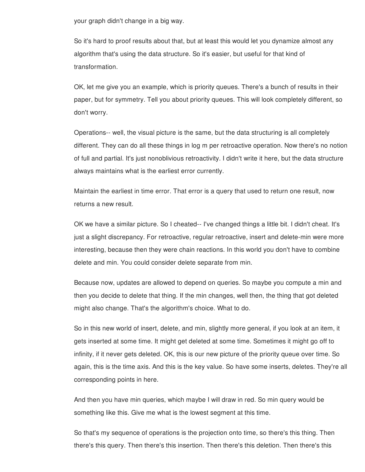your graph didn't change in a big way.

So it's hard to proof results about that, but at least this would let you dynamize almost any algorithm that's using the data structure. So it's easier, but useful for that kind of transformation.

OK, let me give you an example, which is priority queues. There's a bunch of results in their paper, but for symmetry. Tell you about priority queues. This will look completely different, so don't worry.

Operations-- well, the visual picture is the same, but the data structuring is all completely different. They can do all these things in log m per retroactive operation. Now there's no notion of full and partial. It's just nonoblivious retroactivity. I didn't write it here, but the data structure always maintains what is the earliest error currently.

Maintain the earliest in time error. That error is a query that used to return one result, now returns a new result.

OK we have a similar picture. So I cheated-- I've changed things a little bit. I didn't cheat. It's just a slight discrepancy. For retroactive, regular retroactive, insert and delete-min were more interesting, because then they were chain reactions. In this world you don't have to combine delete and min. You could consider delete separate from min.

Because now, updates are allowed to depend on queries. So maybe you compute a min and then you decide to delete that thing. If the min changes, well then, the thing that got deleted might also change. That's the algorithm's choice. What to do.

So in this new world of insert, delete, and min, slightly more general, if you look at an item, it gets inserted at some time. It might get deleted at some time. Sometimes it might go off to infinity, if it never gets deleted. OK, this is our new picture of the priority queue over time. So again, this is the time axis. And this is the key value. So have some inserts, deletes. They're all corresponding points in here.

And then you have min queries, which maybe I will draw in red. So min query would be something like this. Give me what is the lowest segment at this time.

So that's my sequence of operations is the projection onto time, so there's this thing. Then there's this query. Then there's this insertion. Then there's this deletion. Then there's this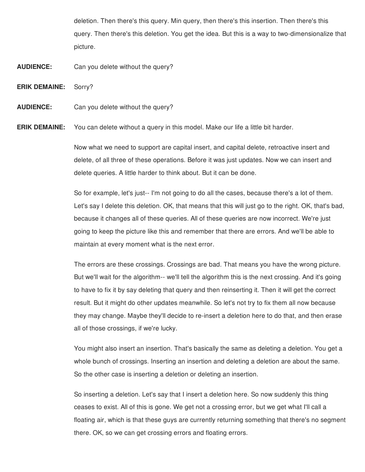deletion. Then there's this query. Min query, then there's this insertion. Then there's this query. Then there's this deletion. You get the idea. But this is a way to two-dimensionalize that picture.

- **AUDIENCE:** Can you delete without the query?
- **ERIK DEMAINE:** Sorry?
- **AUDIENCE:** Can you delete without the query?

**ERIK DEMAINE:** You can delete without a query in this model. Make our life a little bit harder.

Now what we need to support are capital insert, and capital delete, retroactive insert and delete, of all three of these operations. Before it was just updates. Now we can insert and delete queries. A little harder to think about. But it can be done.

So for example, let's just-- I'm not going to do all the cases, because there's a lot of them. Let's say I delete this deletion. OK, that means that this will just go to the right. OK, that's bad, because it changes all of these queries. All of these queries are now incorrect. We're just going to keep the picture like this and remember that there are errors. And we'll be able to maintain at every moment what is the next error.

The errors are these crossings. Crossings are bad. That means you have the wrong picture. But we'll wait for the algorithm-- we'll tell the algorithm this is the next crossing. And it's going to have to fix it by say deleting that query and then reinserting it. Then it will get the correct result. But it might do other updates meanwhile. So let's not try to fix them all now because they may change. Maybe they'll decide to re-insert a deletion here to do that, and then erase all of those crossings, if we're lucky.

You might also insert an insertion. That's basically the same as deleting a deletion. You get a whole bunch of crossings. Inserting an insertion and deleting a deletion are about the same. So the other case is inserting a deletion or deleting an insertion.

So inserting a deletion. Let's say that I insert a deletion here. So now suddenly this thing ceases to exist. All of this is gone. We get not a crossing error, but we get what I'll call a floating air, which is that these guys are currently returning something that there's no segment there. OK, so we can get crossing errors and floating errors.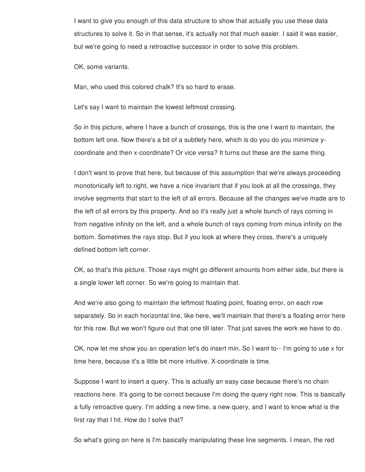I want to give you enough of this data structure to show that actually you use these data structures to solve it. So in that sense, it's actually not that much easier. I said it was easier, but we're going to need a retroactive successor in order to solve this problem.

OK, some variants.

Man, who used this colored chalk? It's so hard to erase.

Let's say I want to maintain the lowest leftmost crossing.

So in this picture, where I have a bunch of crossings, this is the one I want to maintain, the bottom left one. Now there's a bit of a subtlety here, which is do you do you minimize ycoordinate and then x-coordinate? Or vice versa? It turns out these are the same thing.

I don't want to prove that here, but because of this assumption that we're always proceeding monotonically left to right, we have a nice invariant that if you look at all the crossings, they involve segments that start to the left of all errors. Because all the changes we've made are to the left of all errors by this property. And so it's really just a whole bunch of rays coming in from negative infinity on the left, and a whole bunch of rays coming from minus infinity on the bottom. Sometimes the rays stop. But if you look at where they cross, there's a uniquely defined bottom left corner.

OK, so that's this picture. Those rays might go different amounts from either side, but there is a single lower left corner. So we're going to maintain that.

And we're also going to maintain the leftmost floating point, floating error, on each row separately. So in each horizontal line, like here, we'll maintain that there's a floating error here for this row. But we won't figure out that one till later. That just saves the work we have to do.

OK, now let me show you an operation let's do insert min. So I want to-- I'm going to use x for time here, because it's a little bit more intuitive. X-coordinate is time.

Suppose I want to insert a query. This is actually an easy case because there's no chain reactions here. It's going to be correct because I'm doing the query right now. This is basically a fully retroactive query. I'm adding a new time, a new query, and I want to know what is the first ray that I hit. How do I solve that?

So what's going on here is I'm basically manipulating these line segments. I mean, the red